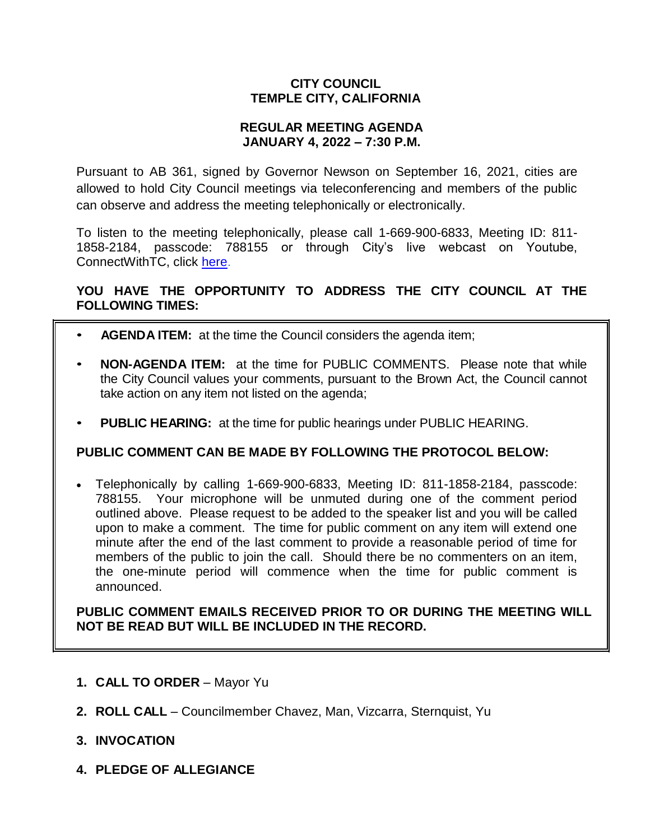# **CITY COUNCIL TEMPLE CITY, CALIFORNIA**

### **REGULAR MEETING AGENDA JANUARY 4, 2022 – 7:30 P.M.**

Pursuant to AB 361, signed by Governor Newson on September 16, 2021, cities are allowed to hold City Council meetings via teleconferencing and members of the public can observe and address the meeting telephonically or electronically.

To listen to the meeting telephonically, please call 1-669-900-6833, Meeting ID: 811- 1858-2184, passcode: 788155 or through City's live webcast on Youtube, ConnectWithTC, click [here.](https://www.ci.temple-city.ca.us/516/Meeting-Webcast)

# **YOU HAVE THE OPPORTUNITY TO ADDRESS THE CITY COUNCIL AT THE FOLLOWING TIMES:**

- **AGENDA ITEM:** at the time the Council considers the agenda item;
- **NON-AGENDA ITEM:** at the time for PUBLIC COMMENTS. Please note that while the City Council values your comments, pursuant to the Brown Act, the Council cannot take action on any item not listed on the agenda;
- **PUBLIC HEARING:** at the time for public hearings under PUBLIC HEARING.

# **PUBLIC COMMENT CAN BE MADE BY FOLLOWING THE PROTOCOL BELOW:**

 Telephonically by calling 1-669-900-6833, Meeting ID: 811-1858-2184, passcode: 788155. Your microphone will be unmuted during one of the comment period outlined above. Please request to be added to the speaker list and you will be called upon to make a comment. The time for public comment on any item will extend one minute after the end of the last comment to provide a reasonable period of time for members of the public to join the call. Should there be no commenters on an item, the one-minute period will commence when the time for public comment is announced.

**PUBLIC COMMENT EMAILS RECEIVED PRIOR TO OR DURING THE MEETING WILL NOT BE READ BUT WILL BE INCLUDED IN THE RECORD.**

- **1. CALL TO ORDER**  Mayor Yu
- **2. ROLL CALL**  Councilmember Chavez, Man, Vizcarra, Sternquist, Yu
- **3. INVOCATION**
- **4. PLEDGE OF ALLEGIANCE**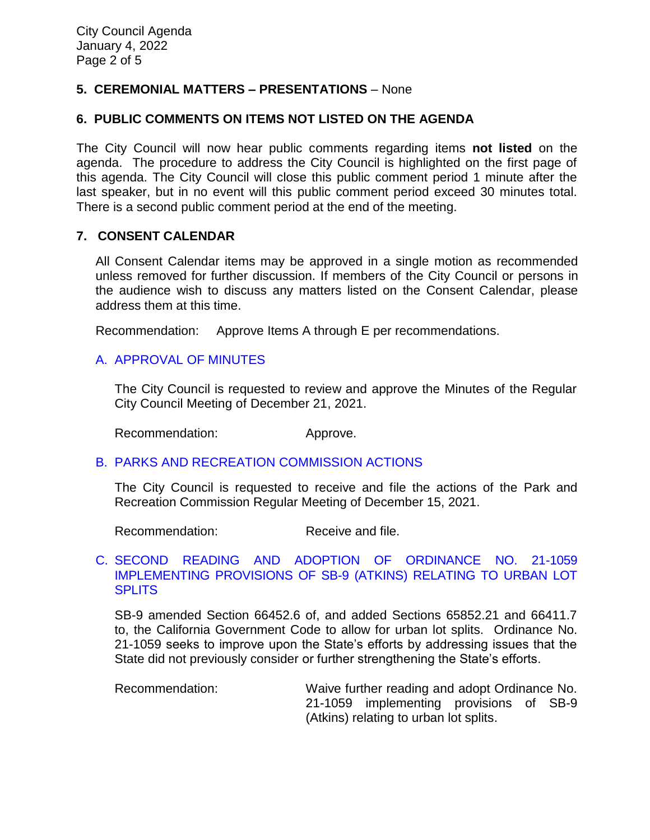# **5. CEREMONIAL MATTERS – PRESENTATIONS** – None

# **6. PUBLIC COMMENTS ON ITEMS NOT LISTED ON THE AGENDA**

The City Council will now hear public comments regarding items **not listed** on the agenda. The procedure to address the City Council is highlighted on the first page of this agenda. The City Council will close this public comment period 1 minute after the last speaker, but in no event will this public comment period exceed 30 minutes total. There is a second public comment period at the end of the meeting.

# **7. CONSENT CALENDAR**

All Consent Calendar items may be approved in a single motion as recommended unless removed for further discussion. If members of the City Council or persons in the audience wish to discuss any matters listed on the Consent Calendar, please address them at this time.

Recommendation: Approve Items A through E per recommendations.

# [A. APPROVAL OF MINUTES](https://www.ci.temple-city.ca.us/DocumentCenter/View/17223/7A_CCM---2021-12-21)

The City Council is requested to review and approve the Minutes of the Regular City Council Meeting of December 21, 2021.

Recommendation: Approve.

# B. [PARKS AND RECREATION](https://www.ci.temple-city.ca.us/DocumentCenter/View/17224/7B_PRC-Regular-Meeting-Actions_Staff-Report-2022-1-4) COMMISSION ACTIONS

The City Council is requested to receive and file the actions of the Park and Recreation Commission Regular Meeting of December 15, 2021.

Recommendation: Receive and file.

# C. [SECOND READING AND ADOPTION OF ORDINANCE NO. 21-1059](https://www.ci.temple-city.ca.us/DocumentCenter/View/17225/7C_SB9_Staff-Report-for-Ordinance-21-1059_v2-final)  [IMPLEMENTING PROVISIONS OF SB-9 \(ATKINS\) RELATING TO URBAN LOT](https://www.ci.temple-city.ca.us/DocumentCenter/View/17225/7C_SB9_Staff-Report-for-Ordinance-21-1059_v2-final)  **[SPLITS](https://www.ci.temple-city.ca.us/DocumentCenter/View/17225/7C_SB9_Staff-Report-for-Ordinance-21-1059_v2-final)**

SB-9 amended Section 66452.6 of, and added Sections 65852.21 and 66411.7 to, the California Government Code to allow for urban lot splits. Ordinance No. 21-1059 seeks to improve upon the State's efforts by addressing issues that the State did not previously consider or further strengthening the State's efforts.

Recommendation: Waive further reading and adopt Ordinance No. 21-1059 implementing provisions of SB-9 (Atkins) relating to urban lot splits.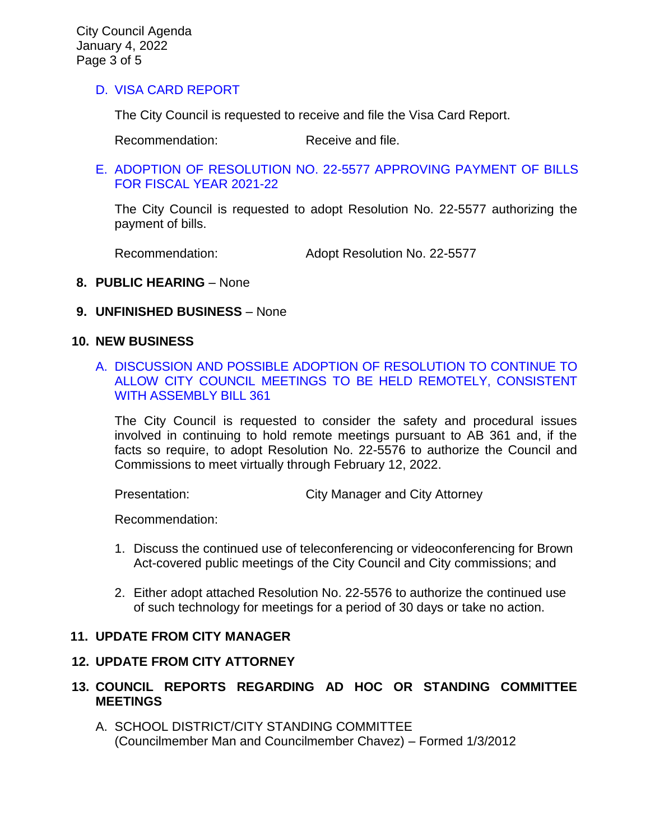# D. [VISA CARD REPORT](https://www.ci.temple-city.ca.us/DocumentCenter/View/17226/7D_10422-Visa-Card-Staff-Report)

The City Council is requested to receive and file the Visa Card Report.

Recommendation: Receive and file.

#### E. [ADOPTION OF RESOLUTION NO. 22-5577](https://www.ci.temple-city.ca.us/DocumentCenter/View/17227/7E_Warrant-Register_Reso-No-22-5577-10422---Warrants--Demands-FY-2021-2022---Copy) APPROVING PAYMENT OF BILLS [FOR FISCAL YEAR 2021-22](https://www.ci.temple-city.ca.us/DocumentCenter/View/17227/7E_Warrant-Register_Reso-No-22-5577-10422---Warrants--Demands-FY-2021-2022---Copy)

The City Council is requested to adopt Resolution No. 22-5577 authorizing the payment of bills.

Recommendation: Adopt Resolution No. 22-5577

### **8. PUBLIC HEARING** – None

#### **9. UNFINISHED BUSINESS** – None

#### **10. NEW BUSINESS**

A. [DISCUSSION AND POSSIBLE ADOPTION OF RESOLUTION TO CONTINUE TO](https://www.ci.temple-city.ca.us/DocumentCenter/View/17228/10A_Remote-Meeting_Staff-Report)  [ALLOW CITY COUNCIL MEETINGS TO BE HELD REMOTELY, CONSISTENT](https://www.ci.temple-city.ca.us/DocumentCenter/View/17228/10A_Remote-Meeting_Staff-Report)  WITH [ASSEMBLY BILL 361](https://www.ci.temple-city.ca.us/DocumentCenter/View/17228/10A_Remote-Meeting_Staff-Report)

The City Council is requested to consider the safety and procedural issues involved in continuing to hold remote meetings pursuant to AB 361 and, if the facts so require, to adopt Resolution No. 22-5576 to authorize the Council and Commissions to meet virtually through February 12, 2022.

Presentation: City Manager and City Attorney

Recommendation:

- 1. Discuss the continued use of teleconferencing or videoconferencing for Brown Act-covered public meetings of the City Council and City commissions; and
- 2. Either adopt attached Resolution No. 22-5576 to authorize the continued use of such technology for meetings for a period of 30 days or take no action.

# **11. UPDATE FROM CITY MANAGER**

#### **12. UPDATE FROM CITY ATTORNEY**

- **13. COUNCIL REPORTS REGARDING AD HOC OR STANDING COMMITTEE MEETINGS** 
	- A. SCHOOL DISTRICT/CITY STANDING COMMITTEE (Councilmember Man and Councilmember Chavez) – Formed 1/3/2012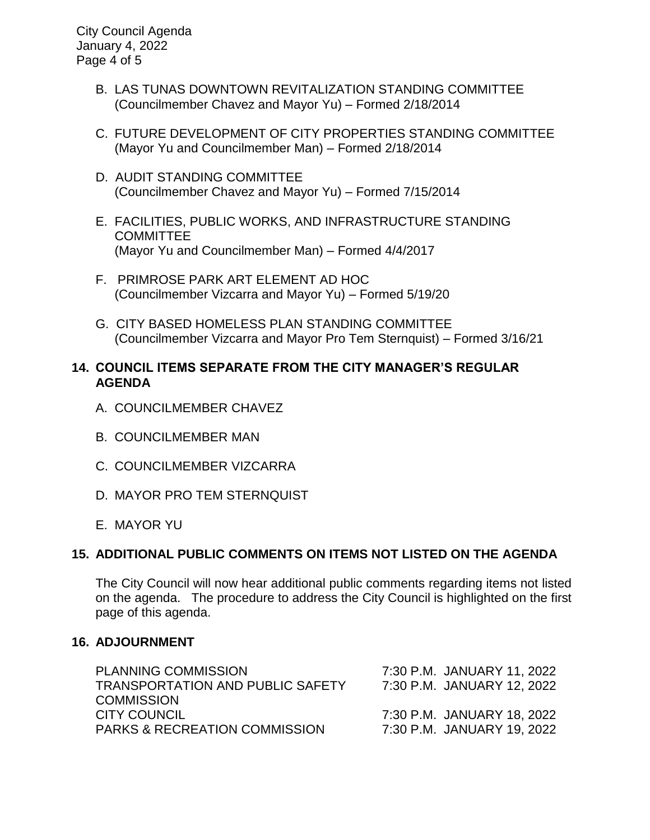City Council Agenda January 4, 2022 Page 4 of 5

- B. LAS TUNAS DOWNTOWN REVITALIZATION STANDING COMMITTEE (Councilmember Chavez and Mayor Yu) – Formed 2/18/2014
- C. FUTURE DEVELOPMENT OF CITY PROPERTIES STANDING COMMITTEE (Mayor Yu and Councilmember Man) – Formed 2/18/2014
- D. AUDIT STANDING COMMITTEE (Councilmember Chavez and Mayor Yu) – Formed 7/15/2014
- E. FACILITIES, PUBLIC WORKS, AND INFRASTRUCTURE STANDING COMMITTEE (Mayor Yu and Councilmember Man) – Formed 4/4/2017
- F. PRIMROSE PARK ART ELEMENT AD HOC (Councilmember Vizcarra and Mayor Yu) – Formed 5/19/20
- G. CITY BASED HOMELESS PLAN STANDING COMMITTEE (Councilmember Vizcarra and Mayor Pro Tem Sternquist) – Formed 3/16/21

# **14. COUNCIL ITEMS SEPARATE FROM THE CITY MANAGER'S REGULAR AGENDA**

- A. COUNCILMEMBER CHAVEZ
- B. COUNCILMEMBER MAN
- C. COUNCILMEMBER VIZCARRA
- D. MAYOR PRO TEM STERNQUIST
- E. MAYOR YU

# **15. ADDITIONAL PUBLIC COMMENTS ON ITEMS NOT LISTED ON THE AGENDA**

The City Council will now hear additional public comments regarding items not listed on the agenda. The procedure to address the City Council is highlighted on the first page of this agenda.

# **16. ADJOURNMENT**

| <b>PLANNING COMMISSION</b><br><b>TRANSPORTATION AND PUBLIC SAFETY</b> | 7:30 P.M. JANUARY 11, 2022<br>7:30 P.M. JANUARY 12, 2022 |
|-----------------------------------------------------------------------|----------------------------------------------------------|
| <b>COMMISSION</b>                                                     |                                                          |
| <b>CITY COUNCIL</b>                                                   | 7:30 P.M. JANUARY 18, 2022                               |
| <b>PARKS &amp; RECREATION COMMISSION</b>                              | 7:30 P.M. JANUARY 19, 2022                               |